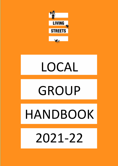

# LOCAL

# GROUP

# HANDBOOK

2021-22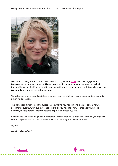

Welcome to Living Streets' Local Group network. My name is [Aisha,](mailto:Aisha.Hannibal@livingstreets.org.uk) I am the Engagement Manager and your main contact at Living Streets. which means I am the main person to be in touch with. We are looking forward to working with you to create a local revolution where walking is a priority and streets are fit for everyone.

We value the time involved and determination required of all our local group members towards achieving our vision.

This handbook gives you all the guidance documents you need in one place. It covers how to prepare for events, what our insurance covers, all you need to know to manage your group finances, the support available to resolve disputes and close a group.

Reading and understanding what is contained in this handbook is important for how you organise your local group activities and ensures we can all work together collaboratively.

Signed

**Aisha Hannibal**



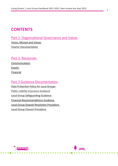### **CONTENTS**

### Part 1: [Organisational Governance](#page-3-0) and Values

[Vision](#page-4-0), Mission and Values [Charter Documentation](#page-4-0)

#### Part 2: [Resources](#page-4-1)

**[Communications](#page-5-0)** [Events](#page-5-1) Financial

### Part [3 Guidance Documentation](#page-7-0)

Data Protection Policy [for Local Groups](#page-9-0)  Public Liability Insurance Guidance [Local Group Safeguarding Guidance](#page-16-0) [Financial Recommendations Guidance](#page-18-0) [Local Group Dispute Resolution Procedure](#page-19-0)  [Local Group Closure Procedure](#page-21-0)

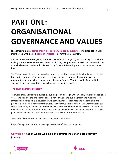## <span id="page-3-0"></span>**PART ONE: ORGANISATIONAL GOVERNANCE AND VALUES**

Living Streets is a [registered charity and company limited by guarantee.](https://www.livingstreets.org.uk/about-us/governance-and-accounts) The organisation has a membership who elects a **[Board of Trustees](https://www.livingstreets.org.uk/about-us/trustees)** to govern the organisation.

An **Executive Committee** (ExCo) of the Board meets more regularly and has delegated decisionmaking authority on day-to-day matters. In addition, **Living Streets Services** has been established as a wholly owned trading subsidiary of Living Streets. This trading entity has its own Company Board.

The Trustees are ultimately responsible for overseeing the running of the charity and protecting the charity's interests. Trustees are elected by, and are accountable to, **members** of the organisation. Members have voting rights at Annual General Meetings (AGMs) and hold the Trustees to account in addition to electing and re-electing Trustees.

#### **The Living Streets Strategy**

The work of Living Streets is guided by our long-term **strategy**, which usually covers a period of 3-5 years, and sets out the anticipated context for our work and our long term and medium-term strategic objectives. This is developed with staff, trustees, supporters and stakeholders and provides a framework for everyone's work. Each year we set out how we will work towards our strategic goals by developing an **annual business plan and budget** which describes in detail our objectives for the year. Each member of staff will have **objectives** which are linked to the business plan and will be held accountable for successful delivery of these objectives.

You can read our current 2020-2025 strategy document here

https://livingstreets.netdonor.net/page/69160/data/1?ea.tracking.id=wn

**Our vision A nation where walking is the natural choice for local, everyday journeys.** 

**dinim** 



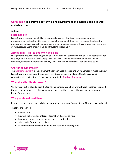#### **Our mission To achieve a better walking environment and inspire people to walk and wheel more.**

#### **Values**

#### **Sustainability**

Living Streets takes sustainability very seriously. We ask that Local Groups are aware of environmental and sustainable issues through the course of their work, ensuring they help the organisation to have as positive an environmental impact as possible. This includes minimising use of resources, re-using or recycling, and travelling sustainably.

#### **Accessibility – link to doc when available**

Living Streets ensures that being involved in our work, our campaigns and our local activity is open to everyone. We ask that Local Groups consider how to enable everyone to be involved in meetings, events and operational activity to ensure diverse representation and discussion.

#### <span id="page-4-0"></span>**Charter documentation**

The [Charter document](https://www.livingstreets.org.uk/media/4692/groupcharter.pdf) is the agreement between Local Groups and Living Streets. It maps out how Living Streets and the Local Group shall work towards achieving Living Streets' vision and complying with Living Streets' values as set out in the **[Strategy Document](https://www.livingstreets.org.uk/media/3228/strategy_document_final-2017-2020.pdf)**.

#### **What does the Charter cover?**

We have set out in plain English the terms and conditions on how we will work together to spread the word about what's possible when people get together to make the walking environment better for everyone.

#### **Why you should read them**

Please read these terms carefully before you set up your Local Group. {link to Charter once updated}

These terms tell you:

- who we are;
- how we will provide our logo, information, funding to you;
- how you, and we, may change or end the relationship;
- what to do if there is a problem;
- <span id="page-4-1"></span>• other important information on how to set up your local group.

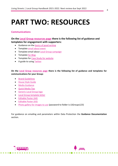## **PART TWO: RESOURCES**

#### <span id="page-5-0"></span>**Communications**

#### **On the [Local Group resources page](https://www.livingstreets.org.uk/about-us/our-organisation/local-group-resources) there is the following list of guidance and templates for engagement with supporters:**

- [Guidance on the basics of good writing](https://www.livingstreets.org.uk/media/4685/guide-to-good-writing.pdf)
- [Template email about event](https://www.livingstreets.org.uk/media/4682/email-template-event.docx)
- [Template email about Local Group campaign](https://www.livingstreets.org.uk/media/4681/email-template-campaign.docx)
- [Template for Blog](https://www.livingstreets.org.uk/media/4678/blog-template_.docx)
- [Template for Case Study for website](https://www.livingstreets.org.uk/media/4680/case-study-template.docx)
- A guide to using [Twitter](https://www.livingstreets.org.uk/media/3680/guide-to-twitter.pdf)

**On the [Local Group resources page](https://www.livingstreets.org.uk/about-us/our-organisation/local-group-resources) there is the following list of guidance and templates for communications for your Group:**

- [Brand Guidelines](https://www.livingstreets.org.uk/media/4055/logo-guide.pdf)
- [House Style Guide](https://www.livingstreets.org.uk/media/4120/living-streets-house-style-guide.pdf)
- [Media Guidance](https://www.livingstreets.org.uk/media/4123/ways-to-get-in-touch-with-the-media.pdf)
- [Quick Media Tips](https://www.livingstreets.org.uk/media/1432/media-tips.pdf)
- [Generic Local Group logo](https://www.livingstreets.org.uk/media/1435/living-streets-local-group-logo.jpg)
- [Local Group template letter](https://www.livingstreets.org.uk/media/1353/local-group-portrait-letterhead.docx)
- [Editable Poster \(A4\)](https://www.livingstreets.org.uk/media/4122/local-groups-a4-poster-green-editable-3-box.docx)
- [Editable Poster \(A3\)](https://www.livingstreets.org.uk/media/4121/local-groups-a3-poster-green-editable-3-box.docx)
- [Photo gallery for images to use](https://livingstreets.smugmug.com/Streets/LS-Local-Groups-Image-Gallery/n-S9Jt3f) (password to folder is LSGroups123)

<span id="page-5-1"></span>For guidance on emailing and parameters within Data Protection the **Guidance Documentation** section.



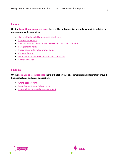#### **Events**

**On the [Local Group resources page](https://www.livingstreets.org.uk/about-us/our-organisation/local-group-resources) there is the following list of guidance and templates for engagement with supporters:**

- [Current Public Liability Insurance Certificate](https://www.livingstreets.org.uk/media/4037/evidence-of-public-liability-insurance.pdf)
- [Insurance guidance](https://www.livingstreets.org.uk/media/2773/insurance-guidance-note.docx)
- [Risk Assessment template](https://www.livingstreets.org.uk/media/2772/risk-assessment-template.doc)[Risk Assessment Covid-19 template](https://www.livingstreets.org.uk/media/6514/ls-covid-19-risk-assessment-local-group-activities7601.docx)
- [Safeguarding Policy](https://www.livingstreets.org.uk/media/4609/safeguarding-policy-sept-2019-for-website-and-staff-handbook.pdf)
- [Image consent form for photos or film](https://www.livingstreets.org.uk/media/4687/image-consent-form-2019.pdf)
- [Contact sign-up](https://www.livingstreets.org.uk/media/3630/local-group-sign-up-form-updated-for-gdpr.pdf)
- [Local Group Power Point Presentation](https://www.livingstreets.org.uk/media/1355/presentation-template-local-groups.pptx) template
- [Event arrow signs](https://www.livingstreets.org.uk/media/4124/directional-arrow-signs.pdf)

#### **Financial**

**On th[e Local Group resources page](https://www.livingstreets.org.uk/about-us/our-organisation/local-group-resources) there is the following list of templates and information around financial returns and grant application.**

**ATTO DE** 

• [Grant Request form](https://www.livingstreets.org.uk/media/4154/grant-request-form-final.docx)

**FRAMER** 

- [Local Group Annual Return form](https://www.livingstreets.org.uk/media/4152/annual-return-doc-final.docx)
- [Financial Recommendations document](https://www.livingstreets.org.uk/media/4661/financial-recommendations-for-local-groups-2019.pdf)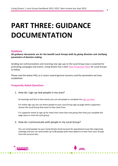## <span id="page-7-0"></span>**PART THREE: GUIDANCE DOCUMENTATION**

#### **Guidance**

**All guidance documents are for the benefit Local Groups both by giving direction and clarifying parameters of decision making.** 

Sending out communications and receiving new sign ups to the Local Group news is essential for promoting campaigns and events. Living Streets has a clear **Data Protection Policy** for Local Groups to follow.

Please read the below FAQ, as it covers several general concerns and the parameters we have established.

#### **Frequently Asked Questions**

1. How do I sign up new people in my area?

At meetings and face to face events you can ask people to complete th[e sign-up sheet.](https://www.livingstreets.org.uk/media/4683/enews-sign-up-form-edited-oct-2019.pdf)

For online sign ups you can direct people to your Local Group sign up page where supporters choose the Local Group they want to hear news from.

If a supporter wants to sign up for news from more than one group then they just complete the page twice or more for each group.

2. How do I communicate with people in my Local Group?

You can email people via your Living Streets email account for operational issues like organising meetings and you can send emails up to 80 people (who have opted in to hear from your Group) from this account also.

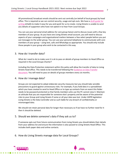All promotional/ broadcast emails should be sent out centrally (on behalf of local groups) by head office. This is required so we can control security, usage and opt-outs. We have a draft guide for [writing](https://www.livingstreets.org.uk/media/6436/email-template-new-group.docx) emails to make it easy for you and quick for us to create. Living Streets is unable to send you details of supporters who have not opted in to hear from Local Groups.

You can use your personal email address for core group liaison and to discuss issues with a few key members of your group. As you have one Living Streets email account, you will need to discuss aspects of your campaigns and organisational matters between a few select people before you put out messages to the wider group. You can use your personal telephone to communicate with core members of your group – using text, calls and WhatsApp as appropriate. You should only include those people in your group who wish to be contacted in this way.

#### 3. How do I transfer data?

What do I need to do to make sure it is ok to pass on details of group members to Head Office as required in the Local Groups Charter?

Including the Data Protection statement within this policy will allow the transfer of data to Living Streets head office. This needs to be transferred following th[e Guidance on Data Transfer](https://www.livingstreets.org.uk/media/5927/gdpr-guidance-for-local-groups-november-2020.pdf)  [document.](https://www.livingstreets.org.uk/media/5927/gdpr-guidance-for-local-groups-november-2020.pdf) You will need to pass on details of groups members every six months.

#### 4. How do I manage data?

Groups are not expected to adopt elaborate security measures but you should take sensible precautions to guard against unnecessary risks. For example, if you hold data in a spreadsheet which you have created to send to Head Office or to type up contacts from an event this folder needs to be password protected so that family members who use the PC cannot view it. Maintain an attitude that you are responsible for someone else's property and be aware of the potential risks to your Group and Living Streets if some or all your data was lost. Under GDPR legislation Living Streets is the Data Controller and as such liable for any breach of confidentiality or mismanaged data.

We should not retain personal data for longer than necessary so if we have no further need for it then it should be deleted.

#### 5. Should we delete someone's data if they ask us to?

If someone opts out from future communication from Living Streets you should delete their details from your address list and ensure the information is also passed to Living Streets Head Office. This includes both paper data and online contacts.

6. How do Living Streets manage data for Local Groups?

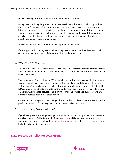How will Living Streets let me know about supporters in my area?

Living Streets will regularly email supporters to tell them there is a Local Group in their area. Living Streets will direct supporters to the Local Group pages on the website so interested supporters can contact you directly or sign up to your news. If they sign up to your news you receive an email to your Living Streets email address with their contact details. Living Streets is also able to send supporters in your area emails from head office about your activity, events or campaigns.

Why can't Living Streets send me details of people in my area?

If the supporter has not agreed to allow Living Streets to disclose their data to a Local Group, it would be a breach of data protection legislation to do so.

#### 7. What systems can I use?

You have a Living Streets email account with Office 365. This is your main contact address and is published on your Local Group webpage. You cannot use another email provider for broadcast emails.

The Information Commissioner's Office (ICO) have acted strongly against charities where volunteers and local groups have been passed personal data and then used their own systems, and/or email providers such as 8Hotmail or Mailchimp, to process this data. The ICO requires Living Streets, the data controller, to have robust systems in place to ensure data is always managed securely and is only used for the predefined purposes. We are unable to release data out of these systems.

Core organisers of a group can exchange phone numbers to discuss issues on text or other platforms. This may form a key part in your operational organisation.

8. How can Living Streets help me?

If you have questions, then you can get in touch directly with Living Streets via the contact details at the end of this Handbook. If you need to email Living Street supporters in your area, then you can follow the [email writing guidance](https://www.livingstreets.org.uk/media/6436/email-template-new-group.docx) provided on the resources page including a template email form.

amm.

#### <span id="page-9-0"></span>**Data Protection Policy for Local Groups**

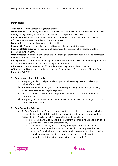#### **Definitions**

**The Charity** – Living Streets, a registered charity

**Data Controller** – the entity with overall responsibility for data collection and management. The Charity (Living Streets) is the Data Controller for the purposes of this policy.

**Personal data** – any information which enables a person to be identified. Certain sensitive information must have the individual's explicit consent

**Data Subject** – a person about whom data is held

**Responsible Person** – Faheza Peerboccus, Director of Finance and Resources

**Register of Data Systems** – a register of all systems and contexts in which personal data is processed by the Charity

**Data Processor** – an individual or organisation handling or processing data (e.g a sub-contractor on behalf of the data controller)

**Privacy Notice** - a statement used to explain the data controller's policies on how they process the data that is within their control and meet legal requirements

**Information Commissioner** – the official independent regulator of data in the UK **GDPR** – General Data Protection Regulation – an EU wide law, enforced in the UK by the Data Protection Act 2017

#### 1. **General provisions of this policy**

- a. This policy applies to all personal data processed by Living Streets Local Groups on behalf of the charity.
- b. The Board of Trustees recognises its overall responsibility for ensuring that Living Streets complies with its legal obligations.
- c. All the Charity's Local Groups are required to follow this Data Protection for Local Groups policy.
- d. This policy shall be reviewed at least annually and made available through the Local Group Resources page.

#### 2. **Data Protection Principles**

- a. As Data Controller, the Charity is committed to process data in accordance with its responsibilities under GDPR. Local Groups processing data are also bound by these responsibilities. Article 5 of GDPR require the Data Controller to**:**
	- i. processed lawfully, fairly and in a transparent manner in relation to individuals ('lawfulness, fairness and transparency');
	- ii. collected for specified, explicit and legitimate purposes and not further processed in a manner that is incompatible with those purposes; further processing for archiving purposes in the public interest, scientific or historical research purposes or statistical purposes shall not be considered to be incompatible with the initial purposes ('purpose limitation');

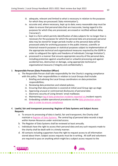- iii. adequate, relevant and limited to what is necessary in relation to the purposes for which they are processed ('data minimisation');
- iv. accurate and, where necessary, kept up to date; every reasonable step must be taken to ensure that personal data that are inaccurate, having regard to the purposes for which they are processed, are erased or rectified without delay ('accuracy');
- v. kept in a form which permits identification of data subjects for no longer than is necessary for the purposes for which the personal data are processed; personal data may be stored for longer periods insofar as the personal data will be processed solely for archiving purposes in the public interest, scientific or historical research purposes or statistical purposes subject to implementation of the appropriate technical and organisational measures required by the GDPR in order to safeguard the rights and freedoms of individuals ('storage limitation');
- vi. processed in a manner that ensures appropriate security of the personal data, including protection against unauthorised or unlawful processing and against accidental loss, destruction or damage, using appropriate technical or organisational measures ('integrity and confidentiality').

#### 3. **Responsible Person (Data Protection Officer)**

- a. The Responsible Person shall take responsibility for the Charity's ongoing compliance with this policy. Their responsibilities in relation to Local Groups shall include:
	- i. Briefing and advising the Local Group coordinators on data protection responsibilities;
	- ii. Reviewing data protection and related policies;
	- iii. Ensuring that data protection is covered at initial Local Group sign up stage
	- iv. Approving unusual or controversial disclosures of personal data
	- v. Electronic security of Living Streets' email mailboxes
	- vi. Maintaining a [log of data protection incidents](https://livingstreets.sharepoint.com/:x:/g/LivingStreets/EbWe0r_1jRFAvMw6NBZ2miABD5u6aG77ZSQa7jBXWu0YAA?e=Y3Xpax) reported via incident reports
	- vii. Embedding suitable operational procedures via the data protection action [plan](https://livingstreets.sharepoint.com/:w:/r/LivingStreets/Finance%20%20Operations/All%20staff/Data%20Protection/DP%20Policy%20Document%20Links/Protection%20Action%20Plan%20Template.docx?d=w4496b66e3e5d4c6698d2180c7a34134f&csf=1&e=lVGtHO) in order to ensure compliance

#### 4. **Lawful, fair and transparent processing: Register of Data Systems and Subject Access Requests**

- a. To ensure its processing of data is lawful, fair and transparent, the Charity shall maintain a [Register of Data Systems.](https://livingstreets.sharepoint.com/:x:/r/LivingStreets/Finance%20%20Operations/All%20staff/Data%20Protection/DP%20Policy%20Document%20Links/Register%20of%20Data%20Systems.xlsx?d=wefe15767f07f45c0b68098561fcb5a5a&csf=1&e=rdUncZ) *The central log of personal data records is kept within Human Resources under restricted access.*
- b. The Register of Data Systems shall be reviewed at least annually.
- c. Individuals have the right to access their personal data and any such requests made to the charity shall be dealt with in a timely manner.
- d. All contacts including supporters have the right to request access to all information stored about them. Subject access requests must be in writing. All staff and volunteers are required to pass on anything which might be a subject access request to the



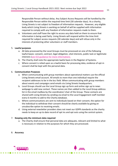Responsible Person without delay. Any Subject Access Requests will be handled by the Responsible Person within the required time limit (30 calendar days). As a charity, Living Streets is not subject to freedom of information requests. However, any eligible body which Living Streets is working on behalf of will be supplied with information required to comply with any freedom of information requests made to them.

e. Volunteers and staff have the right to access any data held on them to ensure that information is being used fairly. Living Streets will respond within the time limit required for subject access requests (30 calendar days) and will refuse only in the interests of protecting other volunteers or staff members.

#### 5. **Lawful purposes**

- a. All data processed by the Local Groups must be processed on one of the following lawful bases: consent, contract, legal obligation, vital interests, public task or legitimate interests [\(see ICO guidance for more information\)](https://ico.org.uk/for-organisations/guide-to-the-general-data-protection-regulation-gdpr/lawful-basis-for-processing/).
- b. The Charity shall note the appropriate lawful basis in the Register of Systems.
- c. Where consent is relied upon as a lawful basis for processing data, evidence of opt-in consent shall be kept with the personal data.

#### 6. **Communication Purposes**

- a. When communicating with group members about operational matters use the official Living Streets email account. All emails to more than one individual require the recipient addresses to be in the bcc field. When communicating with group members about events and campaigns send emails via Living Streets headquarters.
- b. Local Groups should use the Local Group sign up form and online sign up to news webpage to add new contact. These names are then added to the Local Group address list in the email mailbox by the coordinator/ chair of the Group. These contacts are shared with Living Streets by sending via email to the Local Engagement staff member every 6 months to add to the Charity database.
- c. Where communications are sent to individuals based on their consent, the option for the individual to withdraw their consent should be clearly available by giving an unsubscribe option to receiving emails.
- d. Using external newsletter providers does not meet our GDPR standards as the charity needs to keep an up to date record of opt ins and opt outs using the central system.

#### 7. **Keeping only the minimum data required**

a. The Charity shall ensure that personal data are adequate, relevant and limited to what is necessary in relation to the purposes for which they are processed.

**finnin**,

8. **Accuracy**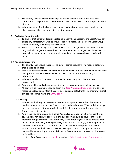- a. The Charity shall take reasonable steps to ensure personal data is accurate. Local Groups processing data are also required to make sure inaccuracies are reported to the Charity.
- b. Where necessary for the lawful basis on which data is processed, steps shall be put in place to ensure that personal data is kept up to date.

#### 9. **Archiving / deleting data**

- a. To ensure that personal data is kept for no longer than necessary, the Local Group can delete any contacts who wish to unsubscribe from receiving emails. The Locla Group should also notify the Charity of any changes.
- b. The data retention policy shall consider what data should/must be retained, for how long, and why. In general, records will be maintained for no longer than three years. All data held on paper should be shredded immediately once records are transferred online.

#### 10. **Keeping data secure**

- a. The Charity shall ensure that personal data is stored securely using modern software that is kept-up-to-date.
- b. Access to personal data shall be limited to personnel within the Group who need access and appropriate security should be in place to avoid unauthorised sharing of information.
- c. When personal data is deleted this should be done safely such that the data is irrecoverable.
- d. Appropriate IT security, back-up and disaster recovery solutions shall be in place.
- e. All staff will be required to read and sign the [Data Protection Declaration](https://livingstreets.sharepoint.com/:w:/r/LivingStreets/Finance%20%20Operations/All%20staff/Data%20Protection/DP%20Policy%20Document%20Links/Data%20Protection%20Declaration.docx?d=we3c3e80bfcc6495da4a0e28bec096d0b&csf=1&e=TcQn2w) and to take reasonable steps to maintain the security of personal data. Staff using their own digital devices shall comply with the [BYOD policy](https://livingstreets.sharepoint.com/:w:/r/LivingStreets/Finance%20%20Operations/All%20staff/Data%20Protection/DP%20Policy%20Document%20Links/Bring%20Your%20Own%20Device%20(BYOD)%20Policy.docx?d=wa0bb916b5c424b618736aa0ab1d87355&csf=1&e=sJAHQl)*.*

#### 11. **Data Sharing**

- a. When individuals sign up to receive news of a Group at an event then these contacts need to be sent securely to the Charity to add to their database. When individuals sign up to receive news of the group via the website these are automatically sent to the Group securely by email.
- b. As a group you cannot pass on a person's details unless you have their consent to do so. This does not apply to contacts in the public domain such as council officers or members of organisations. The Charity may ask another organisation to process data on its behalf. However, the responsibility of what is processed (by the data processor) and how remains with the Charity as data controller. GDPR requires there to be a written contract with all data processors. Managers commissioning a service are responsible for ensuring a contract is in place. Recommended contract conditions can be found here:
	- i. a **Data Processor** [Agreement](https://livingstreets.sharepoint.com/LivingStreets/Finance%20%20Operations/Data%20Protection/Revised%20DP%20Policy%202019/Data%20Processing%20agreement-%20DPA%20.docx) [including a [Data Security Audit Questionnaire](https://livingstreets.sharepoint.com/LivingStreets/Finance%20%20Operations/All%20staff/Human%20Resources/Data%20protection/DP%20Policy%20Document%20Links/DPA%20Security%20Audit%20for%20processors%20template.docx)

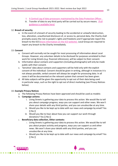- ii. [A Central Log of data processors](https://livingstreets.sharepoint.com/:x:/g/LivingStreets/EZPLX7ej_8JRjMjIdrJ09KMBjJXGrzyHOSkI0LxYtwTOiw?rtime=lyod2pFB10g) maintained by the Data Protection Officer
- iii. Transfer of data to any third party will be carried out by secure means. (Full [guidance is available here\)](https://livingstreets.sharepoint.com/:w:/r/LivingStreets/Finance%20%20Operations/All%20staff/Data%20Protection/DP%20Policy%20Document%20Links/Travelling%20safely%20with%20Data%20Policy.docx?d=w91cfd4ddadef4f45857729616c26b8c4&csf=1&e=WXkJET)

#### 12. **Breach of security**

a. In the event of a breach of security leading to the accidental or unlawful destruction, loss, alteration, unauthorised disclosure of, or access to, personal data, the Charity shall promptly assess the risk to people's rights and freedoms and if appropriate report this breach to the ICO [\(more information on the ICO website\)](https://ico.org.uk/for-organisations/guide-to-the-general-data-protection-regulation-gdpr/personal-data-breaches/). Local Group are required to report any breach to the Charity immediately.

#### 13. **Consent**

- a. Consent will normally not be sought for most processing of information about Local Groups. However, any volunteer details to be disclosed for purposes unrelated to their work for Living Streets (e.g. financial references), will be subject to their consent.
- b. Information about contacts and supporters (including photographs) will only be made public with their consent.
- c. 'Sensitive' data about contacts and supporters will be held only with the explicit consent of the individual. Consent should be given in writing, although in instances it is not always possible, verbal consent will always be sought for processing data. In all cases it will be documented on the relevant system that consent has been given.
- d. All data subjects will be given the opportunity to opt out of their data being used in particular ways, such as the right to opt out of direct marketing (see Privacy Notices below).

#### 14. **Example Privacy Notices**

- a. The following Privacy Notices have been approved and should be used as models:
- b. **Campaign actions:**
	- i. Living Streets is gathering your data to process this action. We would like to tell you about campaign progress, ways you can support and other news. We won't share your details with any third parties, and you can unsubscribe at any time.
	- ii. Would you like to be kept up to date with our news and campaign by email? Yes [] No []
	- iii. Would you like to hear about how you can support our work through donations? Yes [] No []
- c. **Beneficiary data collection, Other contexts:**
	- i. Living Streets is gathering your data to process this action. We would like to tell you about project activity and progress, ways you can support us and other news. We won't share your details with any third parties, and you can unsubscribe at any time.
	- ii. Would you like to be kept up to date with our news and campaign by email? Yes  $[$  No  $[$   $]$

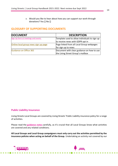iii. Would you like to hear about how you can support our work through donations? Yes [] No []

#### **GLOSSARY OF SUPPORTING DOCUMENTS**

| <b>DOCUMENT</b>                      | <b>DESCRIPTION</b>                            |
|--------------------------------------|-----------------------------------------------|
| Sign Up form at meetings and events  | Template used to allow individuals to sign up |
|                                      | to receive news with GDPR opt in              |
| Online local group news sign up page | Page linked from all Local Group webpages     |
|                                      | for sign up to news                           |
| <b>Guidance on Office 365</b>        | Document with clear guidance on how to use    |
|                                      | the Living Street Group's mailbox             |

#### **Public Liability Insurance**

Living Streets Local Groups are covered by Living Streets' Public Liability insurance policy for a range of activities.

Please read the **[guidance notes](https://www.livingstreets.org.uk/media/6405/public-liability-evidence-2021-2022.pdf)** carefully, as it's crucial that all Local Groups know what activities are covered and any related conditions.

**All Local Groups and Local Group campaigners must only carry out the activities permitted by the insurance policies when acting on behalf of the Group.** Undertaking an activity not covered by our



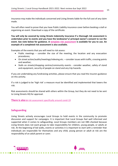insurance may make the individuals concerned and Living Streets liable for the full cost of any claim made.

You will often need to prove that you have Public Liability insurance cover before booking a stall or organising an event. Download a copy of the certificate.

**You will only be covered by Living Streets Indemnity Insurance if a thorough risk assessment is undertaken prior to events and you have the landowner's/ principal owner's consent to run the event. See note below for guidance. A [template risk assessment](https://www.livingstreets.org.uk/media/2772/risk-assessment-template.doc) is available for you to use. An example of a completed risk assessment is also available.**

Examples of the events that you will need to risk assess:

- Public meetings consider the size of the meeting, the location and any evacuation procedures;
- On street action/audits/meetings/videoing etc. consider issues with traffic, crossing points and weather;
- Stalls on streets/shopping centres/community events consider weather, safety of stand and equipment, security of people on stand and any trip hazards.

If you are undertaking any fundraising activities, please ensure that you read the insurers guidance on this activity.

If a risk is judged to be 'high risk' a measure must be identified and implemented that lowers the risk.

Risk assessments should be shared with others within the Group, but they do not need to be sent to Living Streets HQ for approval.

<span id="page-16-0"></span>**There is also a** risk assessment specifically around covid-19

#### **Safeguarding**

Living Streets actively encourages Local Groups to hold events in the community to promote discussion and support for campaigns. It is important that Local Groups feel well informed and supported when it comes to safeguarding. Local Groups members are not DBS checked because Living Streets does not want groups to take responsibility for children, young people, or adults at risk. At the beginning of led walks, events or activities it is important to start with a reminder that individuals are responsible for themselves and any child, young person or adult at risk are the responsibility of an adult parent or carer.

amm.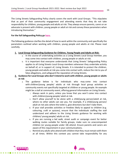The Living Streets Safeguarding Policy clearly covers the work with Local Groups. "This stipulates that as part of their community engagement and attending events that they do not take responsibility for children, young people and adults at risk. They always ensure parents, carers or an advocate is present with children, young people or adult at risk and convey these parameters when introducing themselves."

#### **For the full Safeguarding Policy go [here.](https://www.livingstreets.org.uk/media/4609/safeguarding-policy-sept-2019-for-website-and-staff-handbook.pdf)**

The following guidance clarifies the detail of how to work within the community and specifically the parameters outlined when working with children, young people and adults at risk. Please read carefully.

#### **1. Local Group Safeguarding Guidance for Children, Young People and Adults at Risk:**

- a. In the course of undertaking activities as a Living Streets Local Group member, you may come into contact with children, young people or adults at risk.
- b. It is important that everyone understands that Living Streets' Safeguarding Policy applies to all Living Streets Local Group members whenever they undertake activity on behalf of, or in support of, Living Streets. It is intended to protect the children, young people and adults at risk you come into contact with, reduce the risk to you of false allegations, and safeguard the reputation of Living Streets.
- **2. Guidance for Local Groups who don't intend to work with children, young people or adults at risk**
	- a. The guidance below is for individuals who may come into contact with children/young people/ adults at risk through local group activities or community events not specifically targeted at children or young people. An example might be a stall at community event, offering general information on Living Streets.
		- i. Always work in pairs, unless you know that you won't come into contact with children/young people/ adult at risk.
		- ii. Don't allow yourself to be alone with a child/young person/adult at risk, where no other adults can see you. For example, if a child/young person/ adult at risk asks where the toilet is, give directions but don't take them.
		- iii. If your stall provides activities or freebies likely to appeal to children (e.g. colouring, craft or quizzes), ensure that the individuals staffing the stall understand and adhere to the Living Streets guidance for working with children/ young people/ adults at risk.
		- iv. If you are running a led walk, street audit or campaign event for better walking routes suitable for family groups, make sure no unaccompanied children (or young people under 18) attend. Ensure parents and carers are aware of this requirement in your communications.
		- v. Remind any adults who attend with children that they must remain with them at all times. Within this context you cannot take responsibility for any

.mmm.

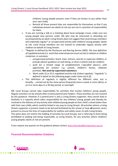children/ young people present, even if they are known to you (other than your own child).

- vi. Remind all those present they are responsible for themselves so that if any individuals present are adults at risk you are not in a position of responsibility for them.
- b. If you are running a talk or a meeting about local campaign issues, make sure any young people (any persons under 18) who may be interested in attending are accompanied by an adult. Living Streets does not suggest that Local Groups members will undertake regular\* or unsupervised activity with children/ young people/ adults at risk. Local Group members are not trained to undertake regular activity with children on behalf of Living Streets.
- c. \*Regular as defined by the Disclosure and Barring Service (DBS): *The new definition of regulated activity (i.e. work that a barred person must not do) in relation to children comprises, in summary:*
	- i. *unsupervised activities: teach, train, instruct, care for or supervise children, or provide advice/ guidance on well-being, or drive a vehicle only for children;*
	- ii. *work for a limited range of establishments ('specified places'), with opportunity for contact: e.g. schools, children's homes, childcare premises. Not work by supervised volunteers;*
	- iii. *Work under (i) or (ii) is regulated activity only if done regularly: "regularly" is defined in detail on the following pages under items (a) to (f).*

**Amm** 

d. This definition of regularly is slightly different for different roles, but is broadly: *…carried out by the same person frequently (once a week or more often), or on 4 or more days in a 30-day period, or overnight*

NB: Local Groups cannot take responsibility for activities that involve children/ young people. Regular activities run by schools often involve parent/carer helpers. These activities are not covered by this guidance. However if a parent/carer is also a Living Streets supporter, they cannot lead or facilitate in a capacity which takes responsibility for any children/ young people and thereby be involved in the delivery of any activity with children/young people at their child's school (other than with their own child), which could be linked in any way to Living Streets. All activities where a Living Streets supporter is present needs to be led and facilitated by the school or have **all** parent/ carers present to ensure the lines of responsibility for welfare and safety never sit with Living Streets. This point does not restrict the holding of activities by Local Groups, but is referring to them being prohibited to leading and being responsible, as Living Streets, for any activities where children/ young people/ adults at risk are present.

If you require any queries on this guidance please contact [Aisha.Hannibal@livingstreets.org.uk](mailto:Aisha.Hannibal@livingstreets.org.uk)

#### <span id="page-18-0"></span>**Financial Recommendation Guidance**

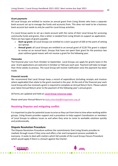#### **Grant payments**

All Local Groups are entitled to receive an annual grant from Living Streets who have a separate bank account set up to manage the funds and accounts from. This does not need to be a business bank account but needs to only be used for Local Group activities.

If a Local Group wants to set up a bank account with the name of their Local Group for accessing community funds and grants, then a letter is needed from Living Streets to support an application. There are two types of grants payable:

- **Start-up grant:** all Local Groups are entitled to a start-up grant of £60 at the point of setting up a group.
- **Annual grant:** all Local Groups are entitled to an annual grant of £120 This grant is subject to review on an annual basis. Groups that have not spent their grant for the previous two years without good reason will not receive a grant for the following year.

#### **Timescales**

The financial year runs from October to September. Local Groups can apply for grants twice in the year. Grant applications are welcome in October or February each year. Payment will take no longer than three weeks to process. The Local Group will receive notification once the payment has been made.

#### **Financial records**

We recommend that Local Groups keep a record of expenditure (including receipts and invoices where applicable) that relate to the grant received in the year. At the end of the financial year each Local Group who has received a grant is required to complete an Annual Return form. Please submit your latest Annual Return prior to the payment of the following year's annual grant.

All forms are updated and held on **[Local Group resources page.](https://www.livingstreets.org.uk/about-us/our-organisation/local-group-resources)**

Please send your Annual Return to [Aisha.Hannibal@livingstreets.org.uk](mailto:Aisha.Hannibal@livingstreets.org.uk)

#### **Resolving Disputes and mitigating conflict**

It is important to plan for potential issues to arise as they can from time to time when working within groups. Living Streets provides support and a procedure to help support Coordinators or members of Local Groups to address issues as and when they arise to come to workable solutions quickly and professionally.

#### <span id="page-19-0"></span>**Dispute Resolution Procedure**

The Dispute Resolution Procedure outlines the commitments that Living Streets provides to mediate through issues if they arise and offers a fair and transparent process available to everyone. It seeks to deal with matters which fall outside of the Local Group Closure Procedure which would apply if there is a breach against the Charter.

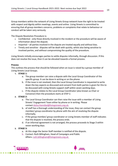Group members within the network of Living Streets Group network have the right to be treated with respect and dignity within meetings, events and online. Living Streets is committed to ensuring that all group members concerns, problems or complaints that relate to behaviour or conduct will be taken very seriously.

The Dispute Resolution Procedure is:

- Confidential only those directly involved in the incident or the procedure will be aware of information about the dispute.
- Impartial all parties involved in the dispute are treated equally and without bias.
- Timely and sensitive disputes will be dealt with quickly, whilst also being sensitive to involved parties, and without compromising the quality of the procedure.

Living Streets initially encourages parties to settle disputes informally, through discussion. If this does not resolve the issue, then it can be elevated towards a formal process.

#### **Process**

This outlines the process that should be followed when an issue is raised by a group member of Living Streets Local Groups.

- **1. STAGE 1:**
	- a. The group member can raise a dispute with the Local Group Coordinator of the specific group. It can be done in writing or on the phone.
	- b. If the issue is not resolved, then the Local Group Coordinator is requested to write down the key aspects as discussed and consent from both parties is given for this to be discussed with Living Streets support staff within seven working days.
	- c. If the dispute relates to the Local Group Coordinator (also known as Chair or Convenor) then the procedure starts at STEP 2.
- **2. STAGE 2:**
	- a. The Local Group Coordinator can then raise the issue with a member of Living Streets' Engagement Team either by phone or in writing. Please contact [Aisha.Hannibal@livingstreets.org.uk.](mailto:Aisha.Hannibal@livingstreets.org.uk)
	- b. of staff has a thorough understanding of the issue, they can contact the group member/ group coordinator by phone with the aim of resolving the dispute informally.
	- c. If the group member/ group coordinator or Living Streets member of staff indicates that the dispute is resolved, the process ends.
	- d. If an informal agreement is not arranged, the process proceeds to Stage 3 within seven working days.

#### **3. STAGE 3:**

- a. At this stage the Senior Staff member is notified of the dispute.
- b. Contact: Ruth Billingham, Head of Campaigns and Public Affairs: [ruth.billingham@livingstreets.org.uk](mailto:ruth.billingham@livingstreets.org.uk)

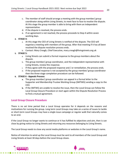- c. The member of staff should arrange a meeting with the group member/ group coordinator along within Living Streets, to meet face to face to resolve the dispute. At this stage the group member is able to bring with them an independent representative.
- d. If the dispute is resolved, the process ends.
- e. If an agreement is not reached, the process proceeds to Step 4 within seven working days.
- **4. STAGE 4:**
	- a. At this stage the CEO of Living Streets is notified of the dispute. The CEO will organise a meeting with members of the group. After that meeting if it has all been resolved the dispute resolution process ends.
	- b. Contact: Mary Creagh, Chief Executive, mary.creagh@livingstreets.org.uk

#### **5. STAGE 5:**

- a. Living Streets can submit a formal response to the group members about the dispute.
- b. The group member/ group coordinator, and the independent representative with Living Streets, review this response.
- c. If they agree with the proposed response and / or remediation, the process ends.
- d. If the proposed response is not accepted by the group member/ group coordinator then the three-stage completion procedure can be followed.

#### **6. STAGE 6 - Appeals Process:**

- **a.** The group member/ group coordinator can appeal in a formal letter to the Supporter and Membership Trustee Working Group (SMTWG) sending a copy to the CEO.
- **b.** If the SMTWG are unable to resolve the issue, then the Local Group can follow the Local Group Closure Procedure or start again within the Dispute Resolution Process to find a mutual agreement.

#### <span id="page-21-0"></span>**Local Group Closure Procedure**

There is no set time period that a Local Group operates for it depends on the reasons and motivations for running the group. Long term Local Groups may take on a series of issues to tackle or short-term Local Groups may have a single-issue campaign or regular walk that naturally comes to an end.

If the Local Group no longer wants to continue or it has fulfilled its objectives and aim, then is can close by giving notice to Living Streets and returning any resources belonging to Living Streets.

The Local Group needs to close any social media platforms or websites in the Local Group's name.

Notice of intention to wind up the Local Group must be sent to all members of the Local Group and Living Streets at least 30 days before the Local Group closes.